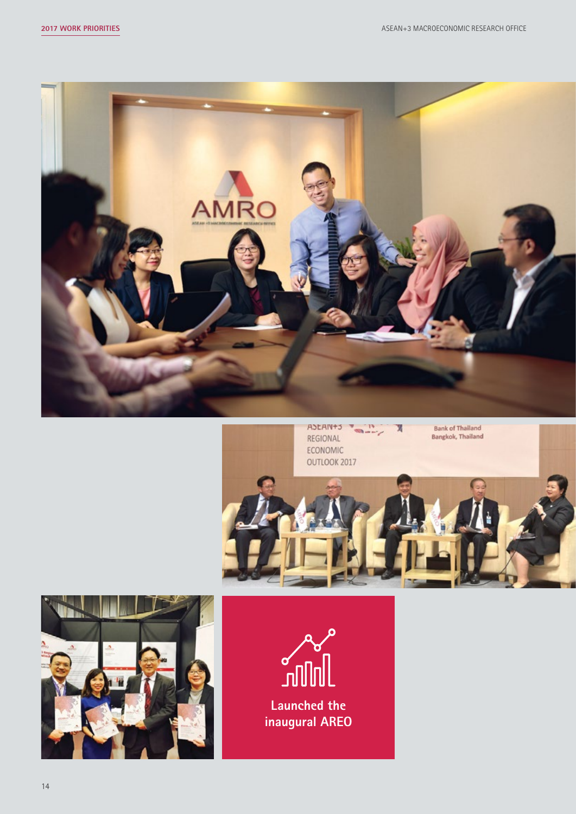







**Launched the inaugural AREO**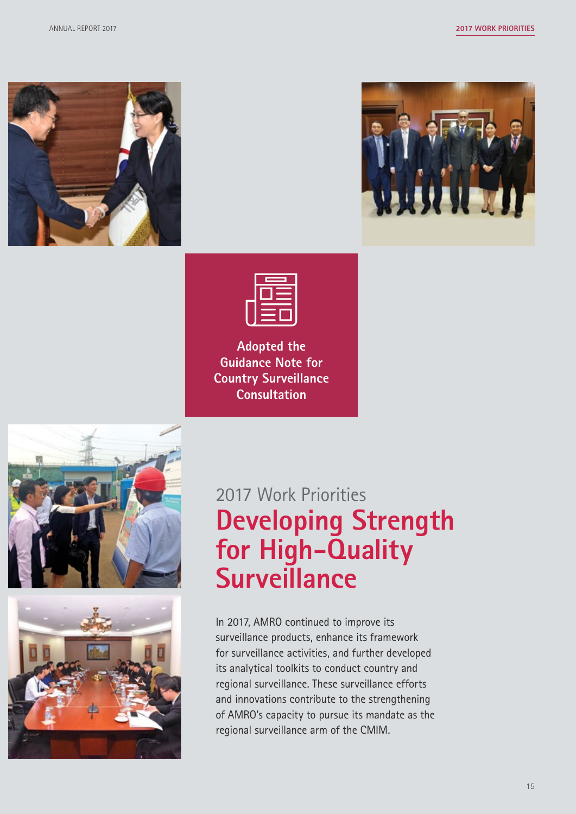



|    | the contract of the contract of the contract of<br><b>Service Service</b>              |
|----|----------------------------------------------------------------------------------------|
|    | _____<br>the control of the control of the<br>___<br>the control of the control of the |
| __ | the control of the control of the<br>the control of the control of                     |
|    | ____                                                                                   |

**Adopted the Guidance Note for Country Surveillance Consultation**





# 2017 Work Priorities **Developing Strength for High-Quality Surveillance**

In 2017, AMRO continued to improve its surveillance products, enhance its framework for surveillance activities, and further developed its analytical toolkits to conduct country and regional surveillance. These surveillance efforts and innovations contribute to the strengthening of AMRO's capacity to pursue its mandate as the regional surveillance arm of the CMIM.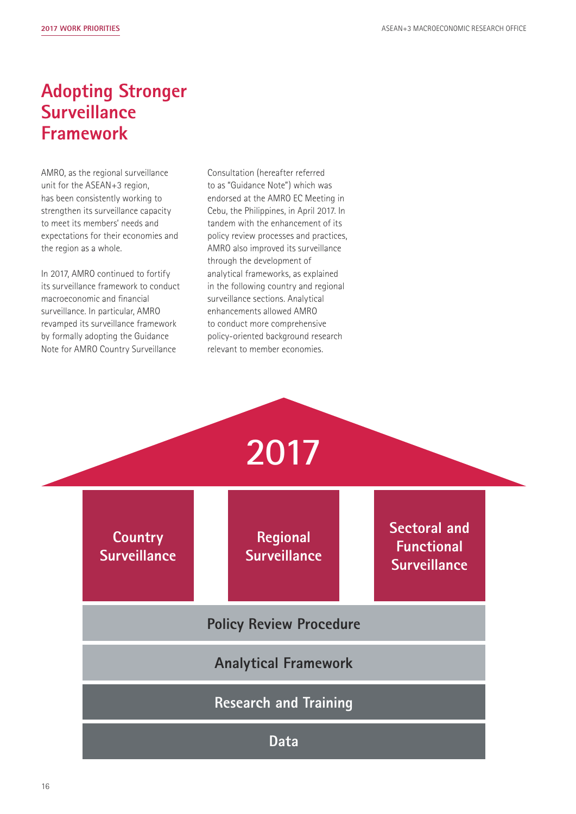### **Adopting Stronger Surveillance Framework**

AMRO, as the regional surveillance unit for the ASEAN+3 region, has been consistently working to strengthen its surveillance capacity to meet its members' needs and expectations for their economies and the region as a whole.

In 2017, AMRO continued to fortify its surveillance framework to conduct macroeconomic and financial surveillance. In particular, AMRO revamped its surveillance framework by formally adopting the Guidance Note for AMRO Country Surveillance

Consultation (hereafter referred to as "Guidance Note") which was endorsed at the AMRO EC Meeting in Cebu, the Philippines, in April 2017. In tandem with the enhancement of its policy review processes and practices, AMRO also improved its surveillance through the development of analytical frameworks, as explained in the following country and regional surveillance sections. Analytical enhancements allowed AMRO to conduct more comprehensive policy-oriented background research relevant to member economies.

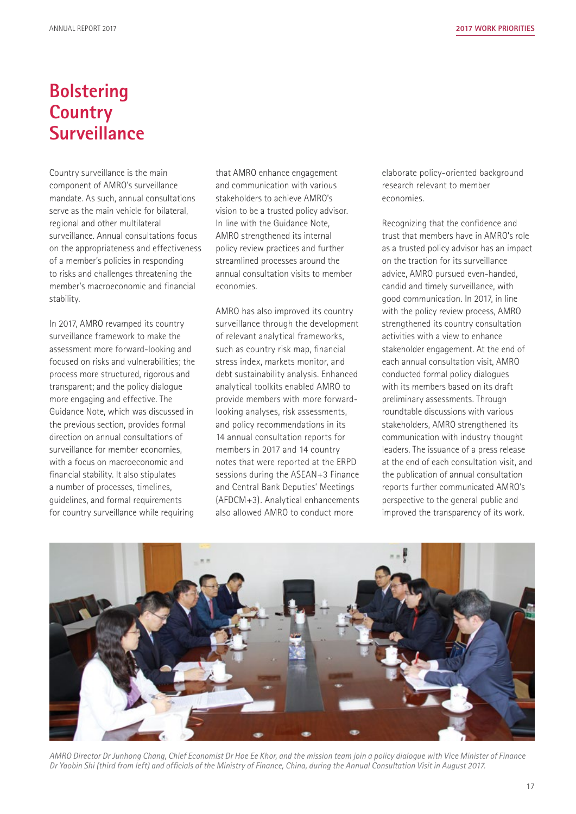#### **Bolstering Country Surveillance**

Country surveillance is the main component of AMRO's surveillance mandate. As such, annual consultations serve as the main vehicle for bilateral, regional and other multilateral surveillance. Annual consultations focus on the appropriateness and effectiveness of a member's policies in responding to risks and challenges threatening the member's macroeconomic and financial stability.

In 2017, AMRO revamped its country surveillance framework to make the assessment more forward-looking and focused on risks and vulnerabilities; the process more structured, rigorous and transparent; and the policy dialogue more engaging and effective. The Guidance Note, which was discussed in the previous section, provides formal direction on annual consultations of surveillance for member economies, with a focus on macroeconomic and financial stability. It also stipulates a number of processes, timelines, guidelines, and formal requirements for country surveillance while requiring

that AMRO enhance engagement and communication with various stakeholders to achieve AMRO's vision to be a trusted policy advisor. In line with the Guidance Note, AMRO strengthened its internal policy review practices and further streamlined processes around the annual consultation visits to member economies.

AMRO has also improved its country surveillance through the development of relevant analytical frameworks, such as country risk map, financial stress index, markets monitor, and debt sustainability analysis. Enhanced analytical toolkits enabled AMRO to provide members with more forwardlooking analyses, risk assessments, and policy recommendations in its 14 annual consultation reports for members in 2017 and 14 country notes that were reported at the ERPD sessions during the ASEAN+3 Finance and Central Bank Deputies' Meetings (AFDCM+3). Analytical enhancements also allowed AMRO to conduct more

elaborate policy-oriented background research relevant to member economies.

Recognizing that the confidence and trust that members have in AMRO's role as a trusted policy advisor has an impact on the traction for its surveillance advice, AMRO pursued even-handed, candid and timely surveillance, with good communication. In 2017, in line with the policy review process, AMRO strengthened its country consultation activities with a view to enhance stakeholder engagement. At the end of each annual consultation visit, AMRO conducted formal policy dialogues with its members based on its draft preliminary assessments. Through roundtable discussions with various stakeholders, AMRO strengthened its communication with industry thought leaders. The issuance of a press release at the end of each consultation visit, and the publication of annual consultation reports further communicated AMRO's perspective to the general public and improved the transparency of its work.



*AMRO Director Dr Junhong Chang, Chief Economist Dr Hoe Ee Khor, and the mission team join a policy dialogue with Vice Minister of Finance Dr Yaobin Shi (third from left) and officials of the Ministry of Finance, China, during the Annual Consultation Visit in August 2017.*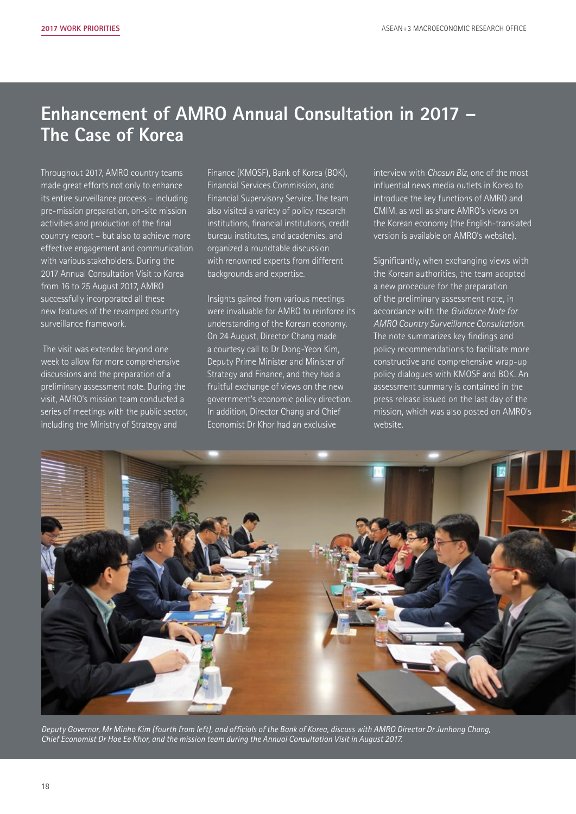## **Enhancement of AMRO Annual Consultation in 2017 – The Case of Korea**

Throughout 2017, AMRO country teams made great efforts not only to enhance its entire surveillance process – including pre-mission preparation, on-site mission activities and production of the final country report – but also to achieve more effective engagement and communication with various stakeholders. During the 2017 Annual Consultation Visit to Korea from 16 to 25 August 2017, AMRO successfully incorporated all these new features of the revamped country surveillance framework.

 The visit was extended beyond one week to allow for more comprehensive discussions and the preparation of a preliminary assessment note. During the visit, AMRO's mission team conducted a series of meetings with the public sector, including the Ministry of Strategy and

Finance (KMOSF), Bank of Korea (BOK), Financial Services Commission, and Financial Supervisory Service. The team also visited a variety of policy research institutions, financial institutions, credit bureau institutes, and academies, and organized a roundtable discussion with renowned experts from different backgrounds and expertise.

Insights gained from various meetings were invaluable for AMRO to reinforce its understanding of the Korean economy. On 24 August, Director Chang made a courtesy call to Dr Dong-Yeon Kim, Deputy Prime Minister and Minister of Strategy and Finance, and they had a fruitful exchange of views on the new government's economic policy direction. In addition, Director Chang and Chief Economist Dr Khor had an exclusive

interview with *Chosun Biz*, one of the most influential news media outlets in Korea to introduce the key functions of AMRO and CMIM, as well as share AMRO's views on the Korean economy (the English-translated version is available on AMRO's website).

Significantly, when exchanging views with the Korean authorities, the team adopted a new procedure for the preparation of the preliminary assessment note, in accordance with the *Guidance Note for AMRO Country Surveillance Consultation*. The note summarizes key findings and policy recommendations to facilitate more constructive and comprehensive wrap-up policy dialogues with KMOSF and BOK. An assessment summary is contained in the press release issued on the last day of the mission, which was also posted on AMRO's website.



*Deputy Governor, Mr Minho Kim (fourth from left), and officials of the Bank of Korea, discuss with AMRO Director Dr Junhong Chang, Chief Economist Dr Hoe Ee Khor, and the mission team during the Annual Consultation Visit in August 2017.*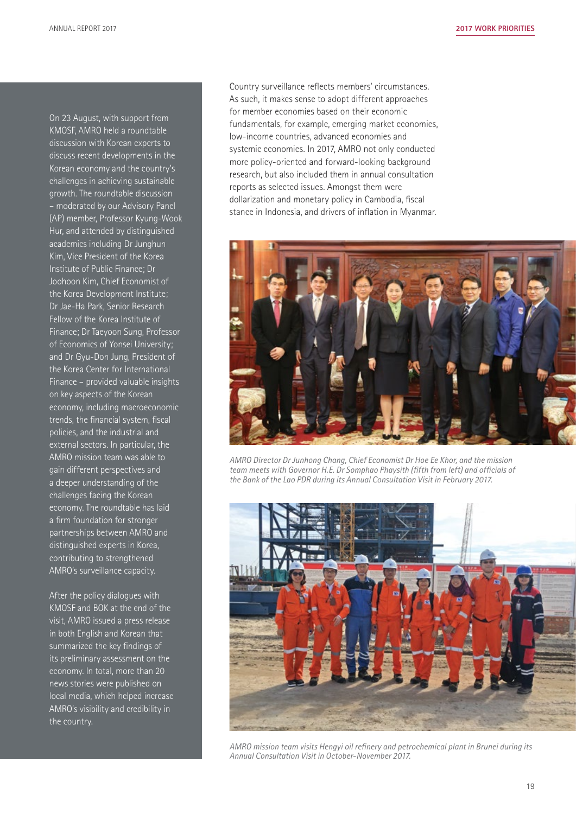On 23 August, with support from KMOSF, AMRO held a roundtable discussion with Korean experts to discuss recent developments in the Korean economy and the country's challenges in achieving sustainable growth. The roundtable discussion – moderated by our Advisory Panel (AP) member, Professor Kyung-Wook Hur, and attended by distinguished academics including Dr Junghun Kim, Vice President of the Korea Institute of Public Finance; Dr Joohoon Kim, Chief Economist of the Korea Development Institute; Dr Jae-Ha Park, Senior Research Fellow of the Korea Institute of Finance; Dr Taeyoon Sung, Professor of Economics of Yonsei University; and Dr Gyu-Don Jung, President of the Korea Center for International Finance – provided valuable insights on key aspects of the Korean economy, including macroeconomic trends, the financial system, fiscal policies, and the industrial and external sectors. In particular, the AMRO mission team was able to gain different perspectives and a deeper understanding of the challenges facing the Korean economy. The roundtable has laid a firm foundation for stronger partnerships between AMRO and distinguished experts in Korea, contributing to strengthened AMRO's surveillance capacity.

After the policy dialogues with KMOSF and BOK at the end of the visit, AMRO issued a press release in both English and Korean that summarized the key findings of its preliminary assessment on the economy. In total, more than 20 news stories were published on local media, which helped increase AMRO's visibility and credibility in the country.

Country surveillance reflects members' circumstances. As such, it makes sense to adopt different approaches for member economies based on their economic fundamentals, for example, emerging market economies, low-income countries, advanced economies and systemic economies. In 2017, AMRO not only conducted more policy-oriented and forward-looking background research, but also included them in annual consultation reports as selected issues. Amongst them were dollarization and monetary policy in Cambodia, fiscal stance in Indonesia, and drivers of inflation in Myanmar.



*AMRO Director Dr Junhong Chang, Chief Economist Dr Hoe Ee Khor, and the mission team meets with Governor H.E. Dr Somphao Phaysith (fifth from left) and officials of the Bank of the Lao PDR during its Annual Consultation Visit in February 2017.*



*AMRO mission team visits Hengyi oil refinery and petrochemical plant in Brunei during its Annual Consultation Visit in October-November 2017.*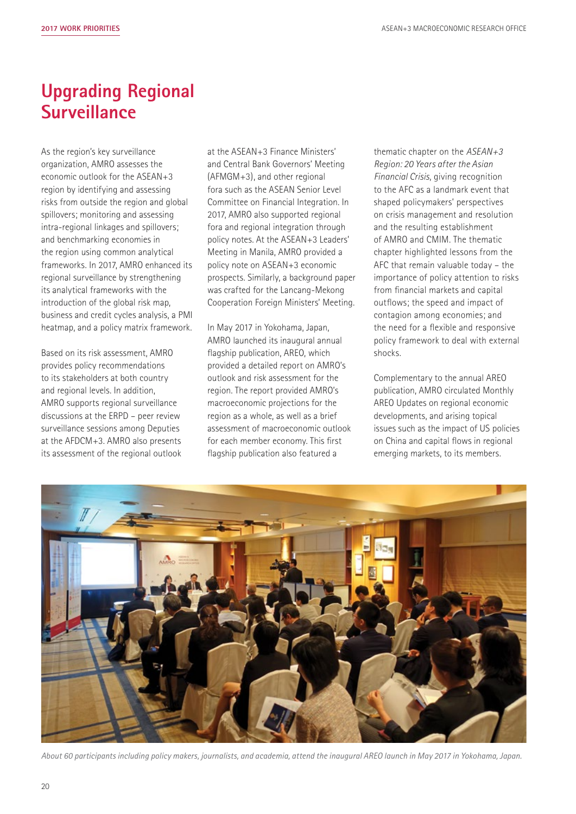## **Upgrading Regional Surveillance**

As the region's key surveillance organization, AMRO assesses the economic outlook for the ASEAN+3 region by identifying and assessing risks from outside the region and global spillovers; monitoring and assessing intra-regional linkages and spillovers; and benchmarking economies in the region using common analytical frameworks. In 2017, AMRO enhanced its regional surveillance by strengthening its analytical frameworks with the introduction of the global risk map, business and credit cycles analysis, a PMI heatmap, and a policy matrix framework.

Based on its risk assessment, AMRO provides policy recommendations to its stakeholders at both country and regional levels. In addition, AMRO supports regional surveillance discussions at the ERPD – peer review surveillance sessions among Deputies at the AFDCM+3. AMRO also presents its assessment of the regional outlook at the ASEAN+3 Finance Ministers' and Central Bank Governors' Meeting (AFMGM+3), and other regional fora such as the ASEAN Senior Level Committee on Financial Integration. In 2017, AMRO also supported regional fora and regional integration through policy notes. At the ASEAN+3 Leaders' Meeting in Manila, AMRO provided a policy note on ASEAN+3 economic prospects. Similarly, a background paper was crafted for the Lancang-Mekong Cooperation Foreign Ministers' Meeting.

In May 2017 in Yokohama, Japan, AMRO launched its inaugural annual flagship publication, AREO, which provided a detailed report on AMRO's outlook and risk assessment for the region. The report provided AMRO's macroeconomic projections for the region as a whole, as well as a brief assessment of macroeconomic outlook for each member economy. This first flagship publication also featured a

thematic chapter on the *ASEAN+3 Region: 20 Years after the Asian Financial Crisis*, giving recognition to the AFC as a landmark event that shaped policymakers' perspectives on crisis management and resolution and the resulting establishment of AMRO and CMIM. The thematic chapter highlighted lessons from the AFC that remain valuable today – the importance of policy attention to risks from financial markets and capital outflows; the speed and impact of contagion among economies; and the need for a flexible and responsive policy framework to deal with external shocks.

Complementary to the annual AREO publication, AMRO circulated Monthly AREO Updates on regional economic developments, and arising topical issues such as the impact of US policies on China and capital flows in regional emerging markets, to its members.



*About 60 participants including policy makers, journalists, and academia, attend the inaugural AREO launch in May 2017 in Yokohama, Japan.*